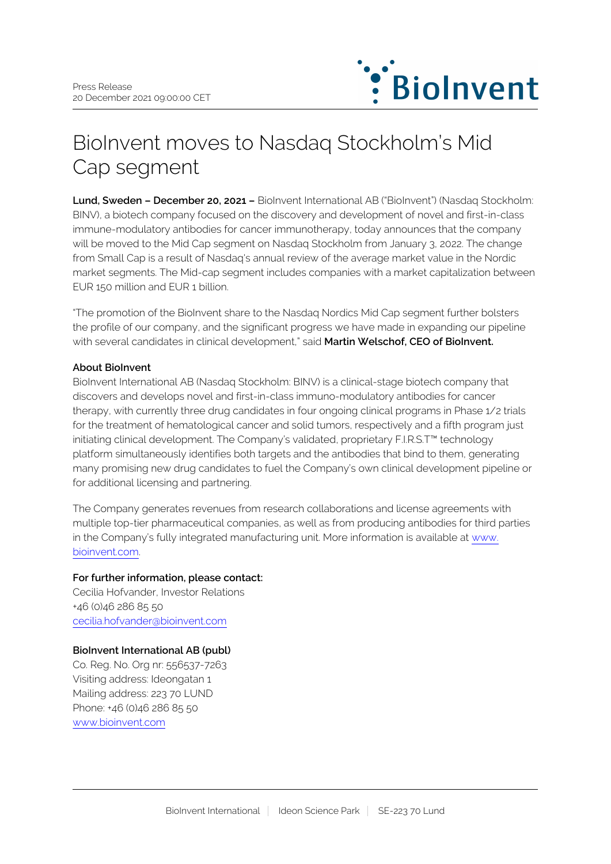

# BioInvent moves to Nasdaq Stockholm's Mid Cap segment

**Lund, Sweden – December 20, 2021 –** BioInvent International AB ("BioInvent") (Nasdaq Stockholm: BINV), a biotech company focused on the discovery and development of novel and first-in-class immune-modulatory antibodies for cancer immunotherapy, today announces that the company will be moved to the Mid Cap segment on Nasdaq Stockholm from January 3, 2022. The change from Small Cap is a result of Nasdaq's annual review of the average market value in the Nordic market segments. The Mid-cap segment includes companies with a market capitalization between EUR 150 million and EUR 1 billion.

"The promotion of the BioInvent share to the Nasdaq Nordics Mid Cap segment further bolsters the profile of our company, and the significant progress we have made in expanding our pipeline with several candidates in clinical development," said **Martin Welschof, CEO of BioInvent.**

## **About BioInvent**

BioInvent International AB (Nasdaq Stockholm: BINV) is a clinical-stage biotech company that discovers and develops novel and first-in-class immuno-modulatory antibodies for cancer therapy, with currently three drug candidates in four ongoing clinical programs in Phase 1/2 trials for the treatment of hematological cancer and solid tumors, respectively and a fifth program just initiating clinical development. The Company's validated, proprietary F.I.R.S.T™ technology platform simultaneously identifies both targets and the antibodies that bind to them, generating many promising new drug candidates to fuel the Company's own clinical development pipeline or for additional licensing and partnering.

The Company generates revenues from research collaborations and license agreements with multiple top-tier pharmaceutical companies, as well as from producing antibodies for third parties in the Company's fully integrated manufacturing unit. More information is available at [www.](http://www.bioinvent.com/) [bioinvent.com](http://www.bioinvent.com/).

#### **For further information, please contact:**

Cecilia Hofvander, Investor Relations +46 (0)46 286 85 50 [cecilia.hofvander@bioinvent.com](mailto:cecilia.hofvander@bioinvent.com)

# **BioInvent International AB (publ)**

Co. Reg. No. Org nr: 556537-7263 Visiting address: Ideongatan 1 Mailing address: 223 70 LUND Phone: +46 (0)46 286 85 50 [www.bioinvent.com](http://www.bioinvent.com/)